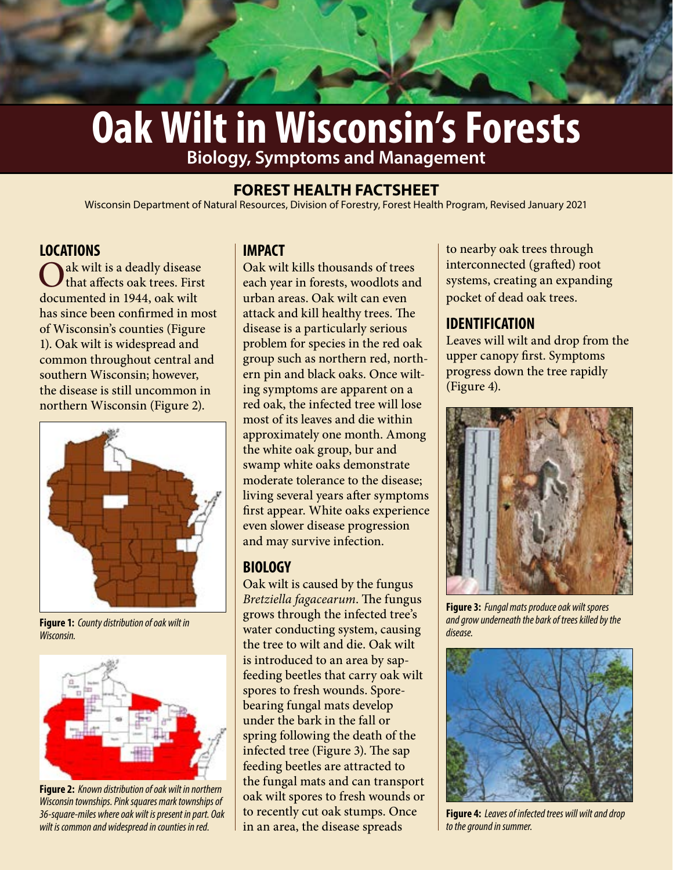# **Oak Wilt in Wisconsin's Forests Biology, Symptoms and Management**

# **FOREST HEALTH FACTSHEET**

Wisconsin Department of Natural Resources, Division of Forestry, Forest Health Program, Revised January 2021

# **LOCATIONS**

ak wilt is a deadly disease that affects oak trees. First documented in 1944, oak wilt has since been confirmed in most of Wisconsin's counties (Figure 1). Oak wilt is widespread and common throughout central and southern Wisconsin; however, the disease is still uncommon in northern Wisconsin (Figure 2).



**Figure 1:** *County distribution of oak wilt in Wisconsin.*



**Figure 2:** *Known distribution of oak wilt in northern Wisconsin townships. Pink squares mark townships of 36-square-miles where oak wilt is present in part. Oak wilt is common and widespread in counties in red.* 

# **IMPACT**

Oak wilt kills thousands of trees each year in forests, woodlots and urban areas. Oak wilt can even attack and kill healthy trees. The disease is a particularly serious problem for species in the red oak group such as northern red, northern pin and black oaks. Once wilting symptoms are apparent on a red oak, the infected tree will lose most of its leaves and die within approximately one month. Among the white oak group, bur and swamp white oaks demonstrate moderate tolerance to the disease; living several years after symptoms first appear. White oaks experience even slower disease progression and may survive infection.

# **BIOLOGY**

Oak wilt is caused by the fungus *Bretziella fagacearum*. The fungus grows through the infected tree's water conducting system, causing the tree to wilt and die. Oak wilt is introduced to an area by sapfeeding beetles that carry oak wilt spores to fresh wounds. Sporebearing fungal mats develop under the bark in the fall or spring following the death of the infected tree (Figure 3). The sap feeding beetles are attracted to the fungal mats and can transport oak wilt spores to fresh wounds or to recently cut oak stumps. Once in an area, the disease spreads

to nearby oak trees through interconnected (grafted) root systems, creating an expanding pocket of dead oak trees.

# **IDENTIFICATION**

Leaves will wilt and drop from the upper canopy first. Symptoms progress down the tree rapidly (Figure 4).



**Figure 3:** *Fungal mats produce oak wilt spores and grow underneath the bark of trees killed by the disease.*



**Figure 4:** *Leaves of infected trees will wilt and drop to the ground in summer.*